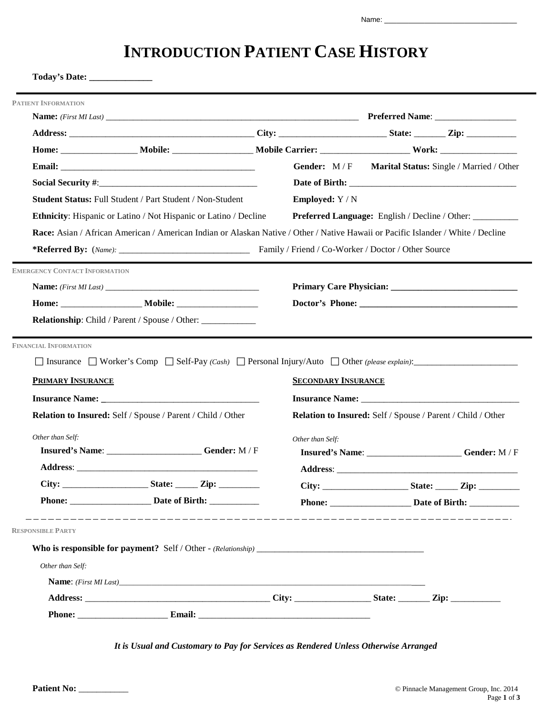# **INTRODUCTION PATIENT CASE HISTORY**

|                                      |                                                                                                                                  | Gender: M/F                | Marital Status: Single / Married / Other                    |  |
|--------------------------------------|----------------------------------------------------------------------------------------------------------------------------------|----------------------------|-------------------------------------------------------------|--|
|                                      |                                                                                                                                  |                            |                                                             |  |
|                                      | <b>Student Status: Full Student / Part Student / Non-Student</b>                                                                 | <b>Employed:</b> Y / N     |                                                             |  |
|                                      | <b>Ethnicity:</b> Hispanic or Latino / Not Hispanic or Latino / Decline                                                          |                            | Preferred Language: English / Decline / Other: __________   |  |
|                                      | Race: Asian / African American / American Indian or Alaskan Native / Other / Native Hawaii or Pacific Islander / White / Decline |                            |                                                             |  |
|                                      |                                                                                                                                  |                            |                                                             |  |
| <b>EMERGENCY CONTACT INFORMATION</b> |                                                                                                                                  |                            |                                                             |  |
|                                      |                                                                                                                                  |                            |                                                             |  |
|                                      |                                                                                                                                  |                            |                                                             |  |
|                                      |                                                                                                                                  |                            |                                                             |  |
| <b>FINANCIAL INFORMATION</b>         | $\Box$ Insurance $\Box$ Worker's Comp $\Box$ Self-Pay (Cash) $\Box$ Personal Injury/Auto $\Box$ Other (please explain):          |                            |                                                             |  |
|                                      |                                                                                                                                  |                            |                                                             |  |
| PRIMARY INSURANCE                    |                                                                                                                                  | <b>SECONDARY INSURANCE</b> |                                                             |  |
|                                      | Relation to Insured: Self / Spouse / Parent / Child / Other                                                                      |                            | Relation to Insured: Self / Spouse / Parent / Child / Other |  |
|                                      |                                                                                                                                  |                            |                                                             |  |
| Other than Self:                     | Insured's Name: ________________________Gender: M / F                                                                            | Other than Self:           |                                                             |  |
|                                      |                                                                                                                                  |                            | Insured's Name: Gender: M/F                                 |  |
|                                      |                                                                                                                                  |                            |                                                             |  |
|                                      |                                                                                                                                  |                            | Phone: Date of Birth:                                       |  |
|                                      |                                                                                                                                  |                            |                                                             |  |
| <b>RESPONSIBLE PARTY</b>             |                                                                                                                                  |                            |                                                             |  |
|                                      |                                                                                                                                  |                            |                                                             |  |
| Other than Self:                     |                                                                                                                                  |                            |                                                             |  |
|                                      |                                                                                                                                  |                            |                                                             |  |
|                                      |                                                                                                                                  |                            |                                                             |  |

*It is Usual and Customary to Pay for Services as Rendered Unless Otherwise Arranged*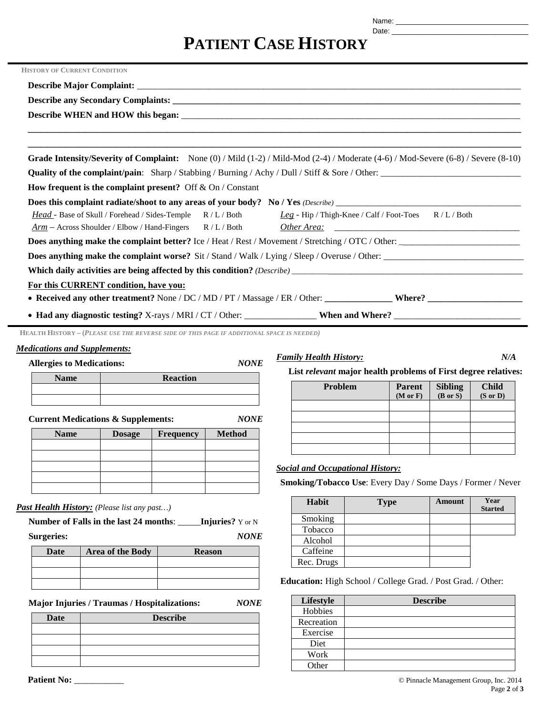Date: \_\_\_\_\_\_\_\_\_\_\_\_\_\_\_\_\_\_\_\_\_\_\_\_\_\_\_\_\_\_\_\_\_\_

# **PATIENT CASE HISTORY**

| <b>HISTORY OF CURRENT CONDITION</b>                                                                                                           |  |
|-----------------------------------------------------------------------------------------------------------------------------------------------|--|
|                                                                                                                                               |  |
|                                                                                                                                               |  |
|                                                                                                                                               |  |
| ,我们也不能会在这里,我们也不能会在这里,我们也不能会在这里,我们也不能会在这里,我们也不能会在这里,我们也不能会不能会不能会。""我们,我们也不能会不能会不能                                                              |  |
| <u> 1989 - Johann Stein, marwolaethau a bhaile ann an t-Alban ann an t-Alban ann an t-Alban ann an t-Alban ann an</u>                         |  |
| Grade Intensity/Severity of Complaint: None $(0)$ / Mild $(1-2)$ / Mild-Mod $(2-4)$ / Moderate $(4-6)$ / Mod-Severe $(6-8)$ / Severe $(8-10)$ |  |
|                                                                                                                                               |  |
| How frequent is the complaint present? Off $&$ On / Constant                                                                                  |  |
|                                                                                                                                               |  |
| Head - Base of Skull / Forehead / Sides-Temple R / L / Both Leg - Hip / Thigh-Knee / Calf / Foot-Toes R / L / Both                            |  |
|                                                                                                                                               |  |
| Does anything make the complaint better? Ice / Heat / Rest / Movement / Stretching / OTC / Other:                                             |  |
|                                                                                                                                               |  |
|                                                                                                                                               |  |
| For this CURRENT condition, have you:                                                                                                         |  |
|                                                                                                                                               |  |
|                                                                                                                                               |  |

**HEALTH HISTORY – (***PLEASE USE THE REVERSE SIDE OF THIS PAGE IF ADDITIONAL SPACE IS NEEDED)*

### *Medications and Supplements:*

**Allergies to Medications:** *NONE*

| -           |                 |
|-------------|-----------------|
| <b>Name</b> | <b>Reaction</b> |
|             |                 |
|             |                 |

**Current Medications & Supplements:** *NONE*

| <b>Name</b> | <b>Dosage</b> | Frequency | <b>Method</b> |
|-------------|---------------|-----------|---------------|
|             |               |           |               |
|             |               |           |               |
|             |               |           |               |
|             |               |           |               |
|             |               |           |               |

### *Past Health History: (Please list any past…)*

**Number of Falls in the last 24 months**: \_\_\_\_\_**Injuries?** Y or N **Surgeries:** *NONE*

| Date | Area of the Body | <b>Reason</b> |
|------|------------------|---------------|
|      |                  |               |
|      |                  |               |
|      |                  |               |

**Major Injuries / Traumas / Hospitalizations:** *NONE* 

| <b>Date</b> | <b>Describe</b> |
|-------------|-----------------|
|             |                 |
|             |                 |
|             |                 |
|             |                 |

#### **Patient No:** \_\_\_\_\_\_\_\_\_\_\_ © Pinnacle Management Group, Inc. 2014 Page **2** of **3**

**List** *relevant* **major health problems of First degree relatives:**

*Family Health History: N/A*

| Problem | <b>Parent</b><br>$(M$ or $F)$ | Sibling<br>(B or S) | <b>Child</b><br>$(S$ or $D)$ |
|---------|-------------------------------|---------------------|------------------------------|
|         |                               |                     |                              |
|         |                               |                     |                              |
|         |                               |                     |                              |
|         |                               |                     |                              |
|         |                               |                     |                              |

# *Social and Occupational History:*

**Smoking/Tobacco Use**: Every Day / Some Days / Former / Never

| Habit      | <b>Type</b> | Amount | Year<br><b>Started</b> |
|------------|-------------|--------|------------------------|
| Smoking    |             |        |                        |
| Tobacco    |             |        |                        |
| Alcohol    |             |        |                        |
| Caffeine   |             |        |                        |
| Rec. Drugs |             |        |                        |

**Education:** High School / College Grad. / Post Grad. / Other:

| Lifestyle  | <b>Describe</b> |
|------------|-----------------|
| Hobbies    |                 |
| Recreation |                 |
| Exercise   |                 |
| Diet       |                 |
| Work       |                 |
| Other      |                 |